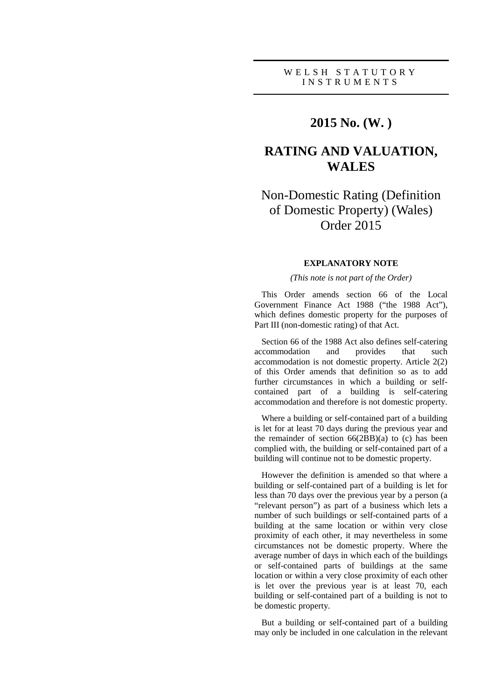## **2015 No. (W. )**

# **RATING AND VALUATION, WALES**

# Non-Domestic Rating (Definition of Domestic Property) (Wales) Order 2015

## **EXPLANATORY NOTE**

### *(This note is not part of the Order)*

This Order amends section 66 of the Local Government Finance Act 1988 ("the 1988 Act"), which defines domestic property for the purposes of Part III (non-domestic rating) of that Act.

Section 66 of the 1988 Act also defines self-catering accommodation and provides that such accommodation is not domestic property. Article 2(2) of this Order amends that definition so as to add further circumstances in which a building or selfcontained part of a building is self-catering accommodation and therefore is not domestic property.

Where a building or self-contained part of a building is let for at least 70 days during the previous year and the remainder of section  $66(2BB)(a)$  to (c) has been complied with, the building or self-contained part of a building will continue not to be domestic property.

However the definition is amended so that where a building or self-contained part of a building is let for less than 70 days over the previous year by a person (a "relevant person") as part of a business which lets a number of such buildings or self-contained parts of a building at the same location or within very close proximity of each other, it may nevertheless in some circumstances not be domestic property. Where the average number of days in which each of the buildings or self-contained parts of buildings at the same location or within a very close proximity of each other is let over the previous year is at least 70, each building or self-contained part of a building is not to be domestic property.

But a building or self-contained part of a building may only be included in one calculation in the relevant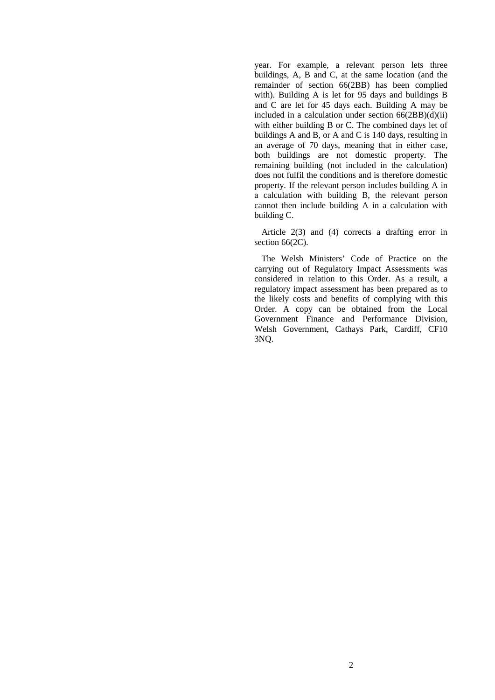year. For example, a relevant person lets three buildings, A, B and C, at the same location (and the remainder of section 66(2BB) has been complied with). Building A is let for 95 days and buildings B and C are let for 45 days each. Building A may be included in a calculation under section  $66(2BB)(d)(ii)$ with either building B or C. The combined days let of buildings A and B, or A and C is 140 days, resulting in an average of 70 days, meaning that in either case, both buildings are not domestic property. The remaining building (not included in the calculation) does not fulfil the conditions and is therefore domestic property. If the relevant person includes building A in a calculation with building B, the relevant person cannot then include building A in a calculation with building C.

Article 2(3) and (4) corrects a drafting error in section 66(2C).

The Welsh Ministers' Code of Practice on the carrying out of Regulatory Impact Assessments was considered in relation to this Order. As a result, a regulatory impact assessment has been prepared as to the likely costs and benefits of complying with this Order. A copy can be obtained from the Local Government Finance and Performance Division, Welsh Government, Cathays Park, Cardiff, CF10 3NQ.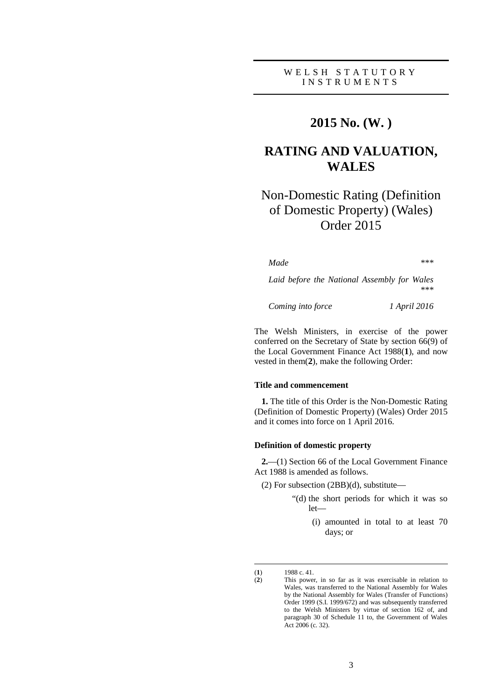## **2015 No. (W. )**

# **RATING AND VALUATION, WALES**

# Non-Domestic Rating (Definition of Domestic Property) (Wales) Order 2015

*Made \*\*\**

*Laid before the National Assembly for Wales \*\*\**

*Coming into force 1 April 2016*

The Welsh Ministers, in exercise of the power conferred on the Secretary of State by section 66(9) of the Local Government Finance Act 1988(**1**), and now vested in them(**2**), make the following Order:

#### **Title and commencement**

**1.** The title of this Order is the Non-Domestic Rating (Definition of Domestic Property) (Wales) Order 2015 and it comes into force on 1 April 2016.

#### **Definition of domestic property**

**2.**—(1) Section 66 of the Local Government Finance Act 1988 is amended as follows.

- (2) For subsection (2BB)(d), substitute—
	- "(d) the short periods for which it was so let—
		- (i) amounted in total to at least 70 days; or

<sup>(</sup>**1**) 1988 c. 41.

<sup>(</sup>**2**) This power, in so far as it was exercisable in relation to Wales, was transferred to the National Assembly for Wales by the National Assembly for Wales (Transfer of Functions) Order 1999 (S.I. 1999/672) and was subsequently transferred to the Welsh Ministers by virtue of section 162 of, and paragraph 30 of Schedule 11 to, the Government of Wales Act 2006 (c. 32).